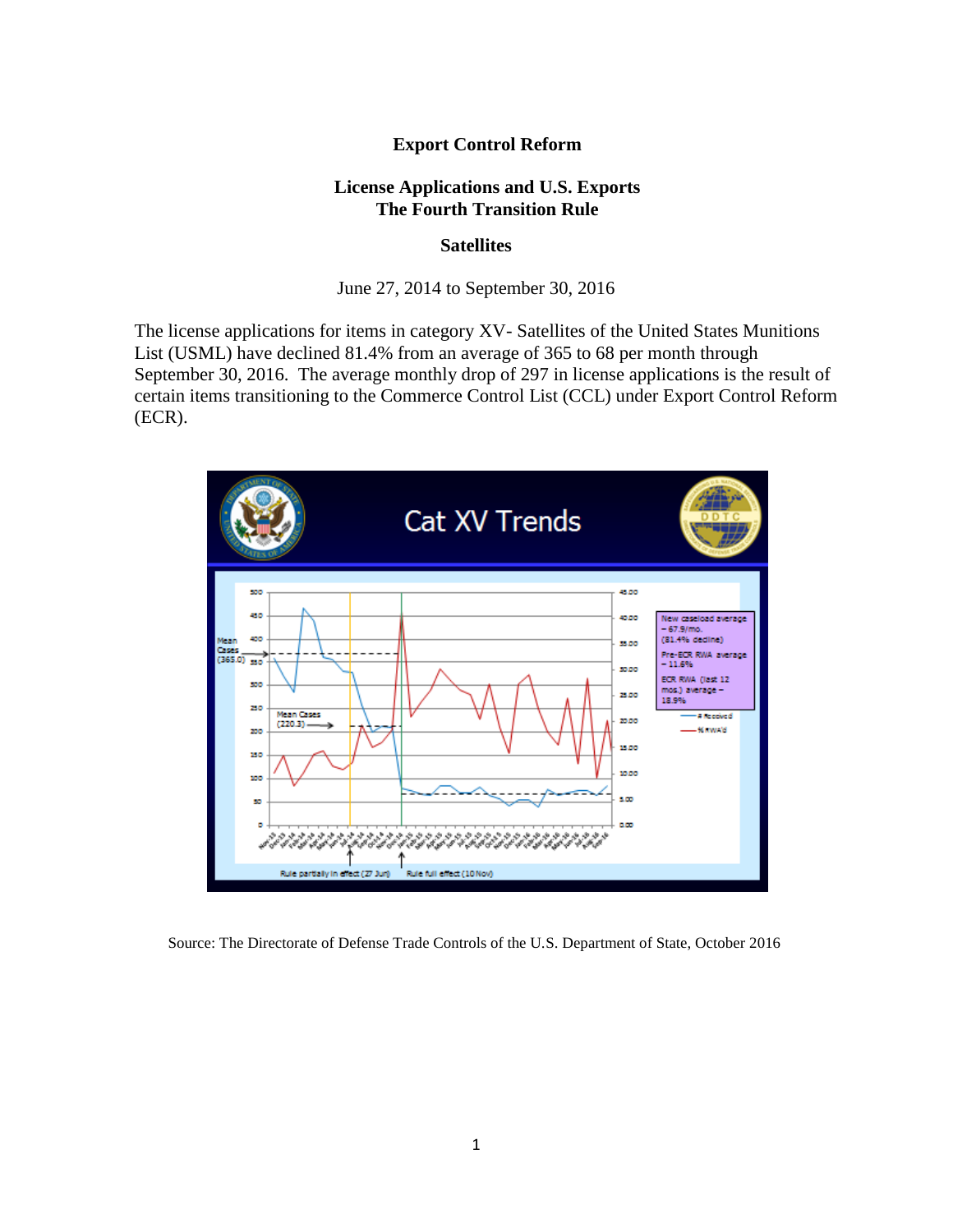## **Export Control Reform**

## **License Applications and U.S. Exports The Fourth Transition Rule**

## **Satellites**

June 27, 2014 to September 30, 2016

The license applications for items in category XV- Satellites of the United States Munitions List (USML) have declined 81.4% from an average of 365 to 68 per month through September 30, 2016. The average monthly drop of 297 in license applications is the result of certain items transitioning to the Commerce Control List (CCL) under Export Control Reform (ECR).



Source: The Directorate of Defense Trade Controls of the U.S. Department of State, October 2016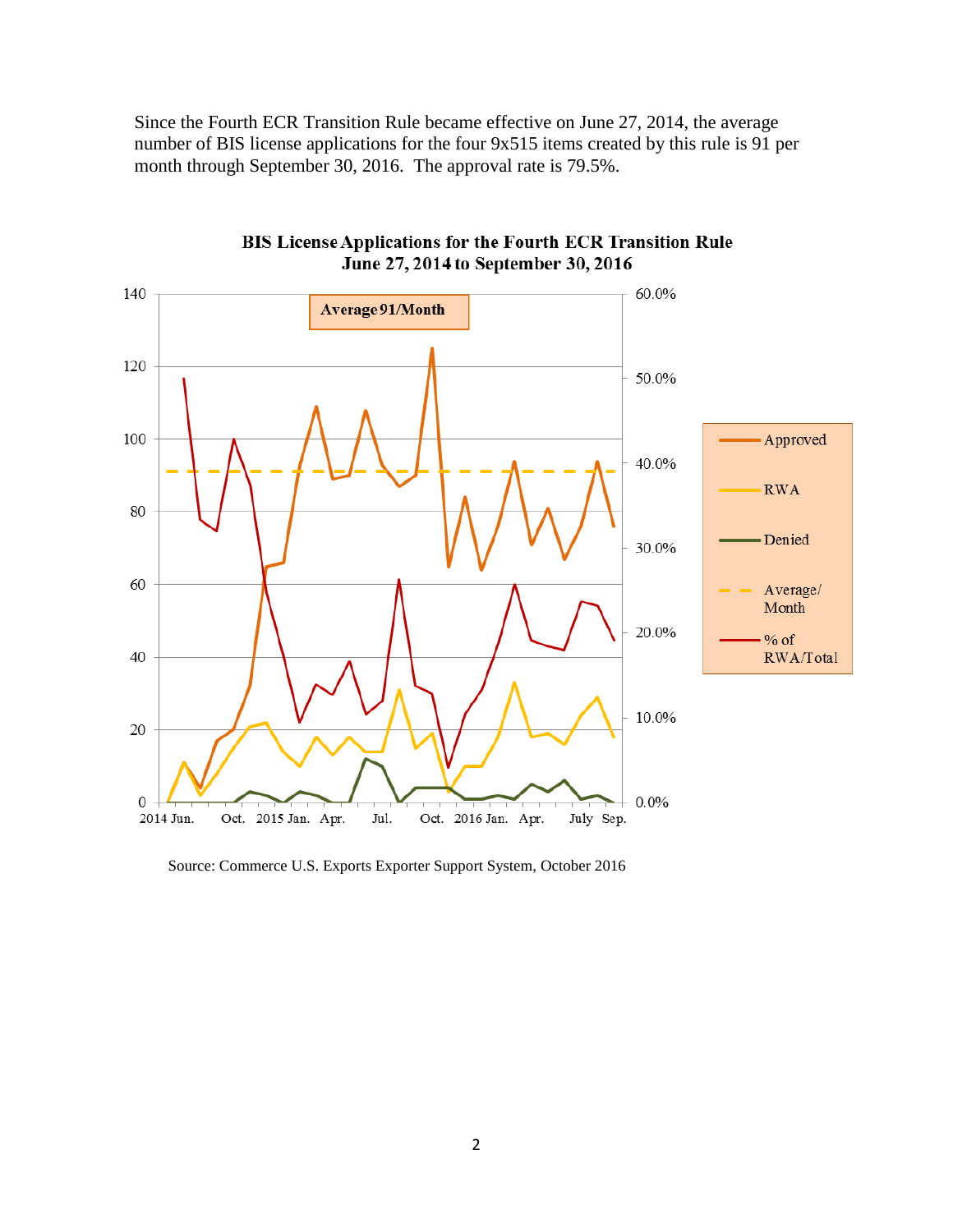Since the Fourth ECR Transition Rule became effective on June 27, 2014, the average number of BIS license applications for the four 9x515 items created by this rule is 91 per month through September 30, 2016. The approval rate is 79.5%.



**BIS License Applications for the Fourth ECR Transition Rule** June 27, 2014 to September 30, 2016

Source: Commerce U.S. Exports Exporter Support System, October 2016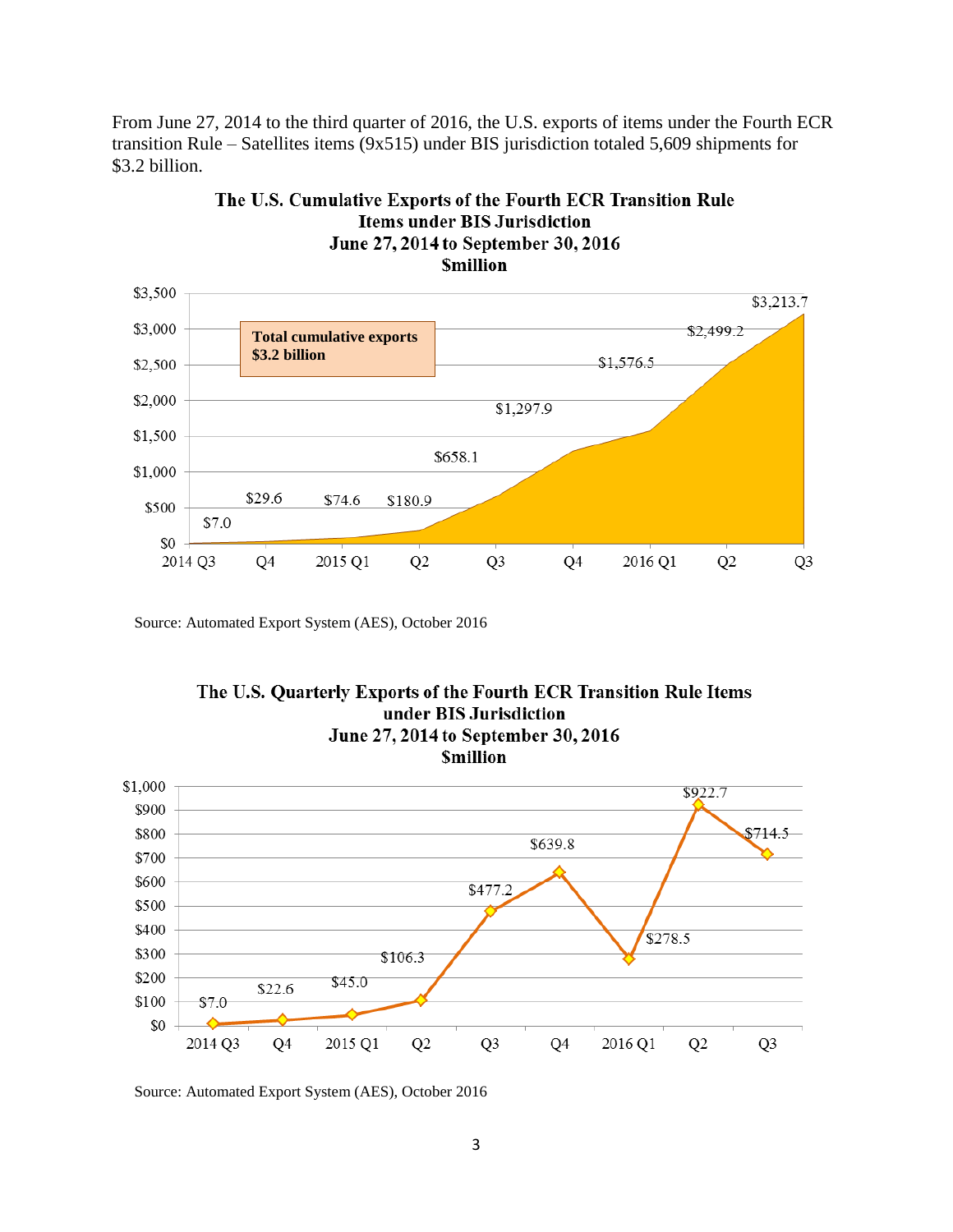From June 27, 2014 to the third quarter of 2016, the U.S. exports of items under the Fourth ECR transition Rule – Satellites items (9x515) under BIS jurisdiction totaled 5,609 shipments for \$3.2 billion.



The U.S. Cumulative Exports of the Fourth ECR Transition Rule **Items under BIS Jurisdiction** June 27, 2014 to September 30, 2016

Source: Automated Export System (AES), October 2016



Source: Automated Export System (AES), October 2016